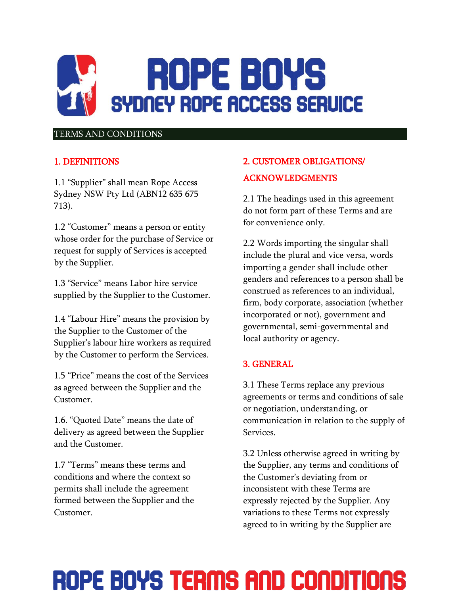

#### TERMS AND CONDITIONS

### 1. DEFINITIONS

1.1 "Supplier" shall mean Rope Access Sydney NSW Pty Ltd (ABN12 635 675 713).

1.2 "Customer" means a person or entity whose order for the purchase of Service or request for supply of Services is accepted by the Supplier.

1.3 "Service" means Labor hire service supplied by the Supplier to the Customer.

1.4 "Labour Hire" means the provision by the Supplier to the Customer of the Supplier's labour hire workers as required by the Customer to perform the Services.

1.5 "Price" means the cost of the Services as agreed between the Supplier and the Customer.

1.6. "Quoted Date" means the date of delivery as agreed between the Supplier and the Customer.

1.7 "Terms" means these terms and conditions and where the context so permits shall include the agreement formed between the Supplier and the Customer.

### 2. CUSTOMER OBLIGATIONS/ ACKNOWLEDGMENTS

2.1 The headings used in this agreement do not form part of these Terms and are for convenience only.

2.2 Words importing the singular shall include the plural and vice versa, words importing a gender shall include other genders and references to a person shall be construed as references to an individual, firm, body corporate, association (whether incorporated or not), government and governmental, semi-governmental and local authority or agency.

### 3. GENERAL

3.1 These Terms replace any previous agreements or terms and conditions of sale or negotiation, understanding, or communication in relation to the supply of Services.

3.2 Unless otherwise agreed in writing by the Supplier, any terms and conditions of the Customer's deviating from or inconsistent with these Terms are expressly rejected by the Supplier. Any variations to these Terms not expressly agreed to in writing by the Supplier are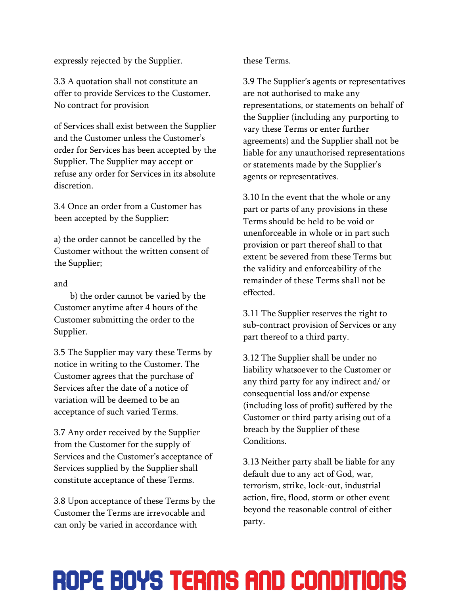expressly rejected by the Supplier.

3.3 A quotation shall not constitute an offer to provide Services to the Customer. No contract for provision

of Services shall exist between the Supplier and the Customer unless the Customer's order for Services has been accepted by the Supplier. The Supplier may accept or refuse any order for Services in its absolute discretion.

3.4 Once an order from a Customer has been accepted by the Supplier:

a) the order cannot be cancelled by the Customer without the written consent of the Supplier;

#### and

b) the order cannot be varied by the Customer anytime after 4 hours of the Customer submitting the order to the Supplier.

3.5 The Supplier may vary these Terms by notice in writing to the Customer. The Customer agrees that the purchase of Services after the date of a notice of variation will be deemed to be an acceptance of such varied Terms.

3.7 Any order received by the Supplier from the Customer for the supply of Services and the Customer's acceptance of Services supplied by the Supplier shall constitute acceptance of these Terms.

3.8 Upon acceptance of these Terms by the Customer the Terms are irrevocable and can only be varied in accordance with

these Terms.

3.9 The Supplier's agents or representatives are not authorised to make any representations, or statements on behalf of the Supplier (including any purporting to vary these Terms or enter further agreements) and the Supplier shall not be liable for any unauthorised representations or statements made by the Supplier's agents or representatives.

3.10 In the event that the whole or any part or parts of any provisions in these Terms should be held to be void or unenforceable in whole or in part such provision or part thereof shall to that extent be severed from these Terms but the validity and enforceability of the remainder of these Terms shall not be effected.

3.11 The Supplier reserves the right to sub-contract provision of Services or any part thereof to a third party.

3.12 The Supplier shall be under no liability whatsoever to the Customer or any third party for any indirect and/ or consequential loss and/or expense (including loss of profit) suffered by the Customer or third party arising out of a breach by the Supplier of these Conditions.

3.13 Neither party shall be liable for any default due to any act of God, war, terrorism, strike, lock-out, industrial action, fire, flood, storm or other event beyond the reasonable control of either party.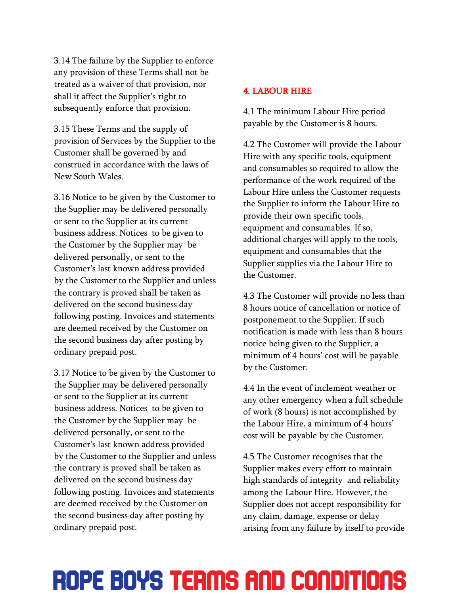3.14 The failure by the Supplier to enforce any provision of these Terms shall not be treated as a waiver of that provision, nor shall it affect the Supplier's right to subsequently enforce that provision.

3.15 These Terms and the supply of provision of Services by the Supplier to the Customer shall be governed by and construed in accordance with the laws of New South Wales.

3.16 Notice to be given by the Customer to the Supplier may be delivered personally or sent to the Supplier at its current business address. Notices to be given to the Customer by the Supplier may be delivered personally, or sent to the Customer's last known address provided by the Customer to the Supplier and unless the contrary is proved shall be taken as delivered on the second business day following posting. Invoices and statements are deemed received by the Customer on the second business day after posting by ordinary prepaid post.

3.17 Notice to be given by the Customer to the Supplier may be delivered personally or sent to the Supplier at its current business address. Notices to be given to the Customer by the Supplier may be delivered personally, or sent to the Customer's last known address provided by the Customer to the Supplier and unless the contrary is proved shall be taken as delivered on the second business day following posting. Invoices and statements are deemed received by the Customer on the second business day after posting by ordinary prepaid post.

#### 4. LABOUR HIRE

4.1 The minimum Labour Hire period payable by the Customer is 8 hours.

4.2 The Customer will provide the Labour Hire with any specific tools, equipment and consumables so required to allow the performance of the work required of the Labour Hire unless the Customer requests the Supplier to inform the Labour Hire to provide their own specific tools, equipment and consumables. If so, additional charges will apply to the tools, equipment and consumables that the Supplier supplies via the Labour Hire to the Customer.

4.3 The Customer will provide no less than 8 hours notice of cancellation or notice of postponement to the Supplier. If such notification is made with less than 8 hours notice being given to the Supplier, a minimum of 4 hours' cost will be payable by the Customer.

4.4 In the event of inclement weather or any other emergency when a full schedule of work (8 hours) is not accomplished by the Labour Hire, a minimum of 4 hours' cost will be payable by the Customer.

4.5 The Customer recognises that the Supplier makes every effort to maintain high standards of integrity and reliability among the Labour Hire. However, the Supplier does not accept responsibility for any claim, damage, expense or delay arising from any failure by itself to provide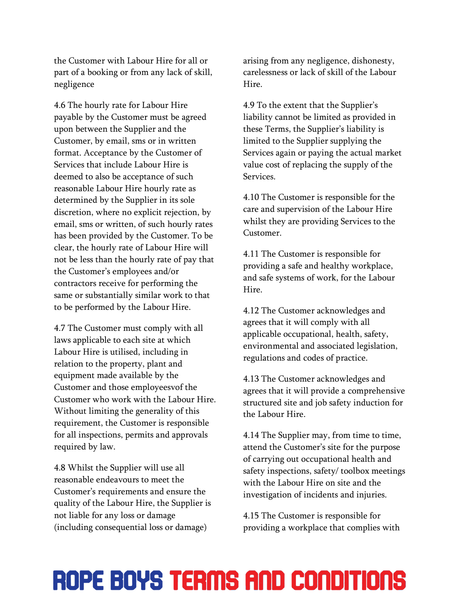the Customer with Labour Hire for all or part of a booking or from any lack of skill, negligence

4.6 The hourly rate for Labour Hire payable by the Customer must be agreed upon between the Supplier and the Customer, by email, sms or in written format. Acceptance by the Customer of Services that include Labour Hire is deemed to also be acceptance of such reasonable Labour Hire hourly rate as determined by the Supplier in its sole discretion, where no explicit rejection, by email, sms or written, of such hourly rates has been provided by the Customer. To be clear, the hourly rate of Labour Hire will not be less than the hourly rate of pay that the Customer's employees and/or contractors receive for performing the same or substantially similar work to that to be performed by the Labour Hire.

4.7 The Customer must comply with all laws applicable to each site at which Labour Hire is utilised, including in relation to the property, plant and equipment made available by the Customer and those employeesvof the Customer who work with the Labour Hire. Without limiting the generality of this requirement, the Customer is responsible for all inspections, permits and approvals required by law.

4.8 Whilst the Supplier will use all reasonable endeavours to meet the Customer's requirements and ensure the quality of the Labour Hire, the Supplier is not liable for any loss or damage (including consequential loss or damage)

arising from any negligence, dishonesty, carelessness or lack of skill of the Labour Hire.

4.9 To the extent that the Supplier's liability cannot be limited as provided in these Terms, the Supplier's liability is limited to the Supplier supplying the Services again or paying the actual market value cost of replacing the supply of the Services.

4.10 The Customer is responsible for the care and supervision of the Labour Hire whilst they are providing Services to the Customer.

4.11 The Customer is responsible for providing a safe and healthy workplace, and safe systems of work, for the Labour Hire.

4.12 The Customer acknowledges and agrees that it will comply with all applicable occupational, health, safety, environmental and associated legislation, regulations and codes of practice.

4.13 The Customer acknowledges and agrees that it will provide a comprehensive structured site and job safety induction for the Labour Hire.

4.14 The Supplier may, from time to time, attend the Customer's site for the purpose of carrying out occupational health and safety inspections, safety/ toolbox meetings with the Labour Hire on site and the investigation of incidents and injuries.

4.15 The Customer is responsible for providing a workplace that complies with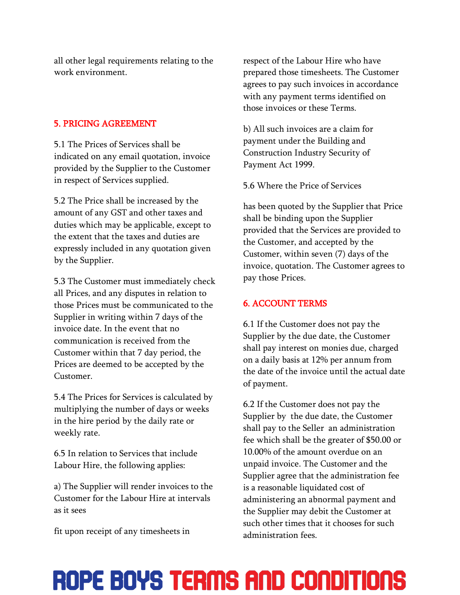all other legal requirements relating to the work environment.

#### 5. PRICING AGREEMENT

5.1 The Prices of Services shall be indicated on any email quotation, invoice provided by the Supplier to the Customer in respect of Services supplied.

5.2 The Price shall be increased by the amount of any GST and other taxes and duties which may be applicable, except to the extent that the taxes and duties are expressly included in any quotation given by the Supplier.

5.3 The Customer must immediately check all Prices, and any disputes in relation to those Prices must be communicated to the Supplier in writing within 7 days of the invoice date. In the event that no communication is received from the Customer within that 7 day period, the Prices are deemed to be accepted by the Customer.

5.4 The Prices for Services is calculated by multiplying the number of days or weeks in the hire period by the daily rate or weekly rate.

6.5 In relation to Services that include Labour Hire, the following applies:

a) The Supplier will render invoices to the Customer for the Labour Hire at intervals as it sees

fit upon receipt of any timesheets in

respect of the Labour Hire who have prepared those timesheets. The Customer agrees to pay such invoices in accordance with any payment terms identified on those invoices or these Terms.

b) All such invoices are a claim for payment under the Building and Construction Industry Security of Payment Act 1999.

5.6 Where the Price of Services

has been quoted by the Supplier that Price shall be binding upon the Supplier provided that the Services are provided to the Customer, and accepted by the Customer, within seven (7) days of the invoice, quotation. The Customer agrees to pay those Prices.

#### 6. ACCOUNT TERMS

6.1 If the Customer does not pay the Supplier by the due date, the Customer shall pay interest on monies due, charged on a daily basis at 12% per annum from the date of the invoice until the actual date of payment.

6.2 If the Customer does not pay the Supplier by the due date, the Customer shall pay to the Seller an administration fee which shall be the greater of \$50.00 or 10.00% of the amount overdue on an unpaid invoice. The Customer and the Supplier agree that the administration fee is a reasonable liquidated cost of administering an abnormal payment and the Supplier may debit the Customer at such other times that it chooses for such administration fees.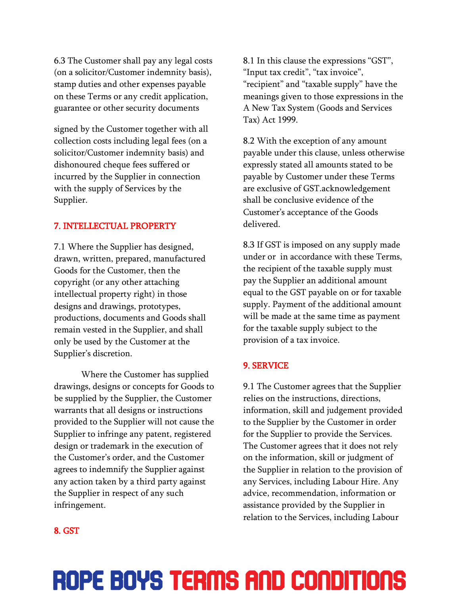6.3 The Customer shall pay any legal costs (on a solicitor/Customer indemnity basis), stamp duties and other expenses payable on these Terms or any credit application, guarantee or other security documents

signed by the Customer together with all collection costs including legal fees (on a solicitor/Customer indemnity basis) and dishonoured cheque fees suffered or incurred by the Supplier in connection with the supply of Services by the Supplier.

#### 7. INTELLECTUAL PROPERTY

7.1 Where the Supplier has designed, drawn, written, prepared, manufactured Goods for the Customer, then the copyright (or any other attaching intellectual property right) in those designs and drawings, prototypes, productions, documents and Goods shall remain vested in the Supplier, and shall only be used by the Customer at the Supplier's discretion.

Where the Customer has supplied drawings, designs or concepts for Goods to be supplied by the Supplier, the Customer warrants that all designs or instructions provided to the Supplier will not cause the Supplier to infringe any patent, registered design or trademark in the execution of the Customer's order, and the Customer agrees to indemnify the Supplier against any action taken by a third party against the Supplier in respect of any such infringement.

8.1 In this clause the expressions "GST", "Input tax credit", "tax invoice", "recipient" and "taxable supply" have the meanings given to those expressions in the A New Tax System (Goods and Services Tax) Act 1999.

8.2 With the exception of any amount payable under this clause, unless otherwise expressly stated all amounts stated to be payable by Customer under these Terms are exclusive of GST.acknowledgement shall be conclusive evidence of the Customer's acceptance of the Goods delivered.

8.3 If GST is imposed on any supply made under or in accordance with these Terms, the recipient of the taxable supply must pay the Supplier an additional amount equal to the GST payable on or for taxable supply. Payment of the additional amount will be made at the same time as payment for the taxable supply subject to the provision of a tax invoice.

#### 9. SERVICE

9.1 The Customer agrees that the Supplier relies on the instructions, directions, information, skill and judgement provided to the Supplier by the Customer in order for the Supplier to provide the Services. The Customer agrees that it does not rely on the information, skill or judgment of the Supplier in relation to the provision of any Services, including Labour Hire. Any advice, recommendation, information or assistance provided by the Supplier in relation to the Services, including Labour

#### 8. GST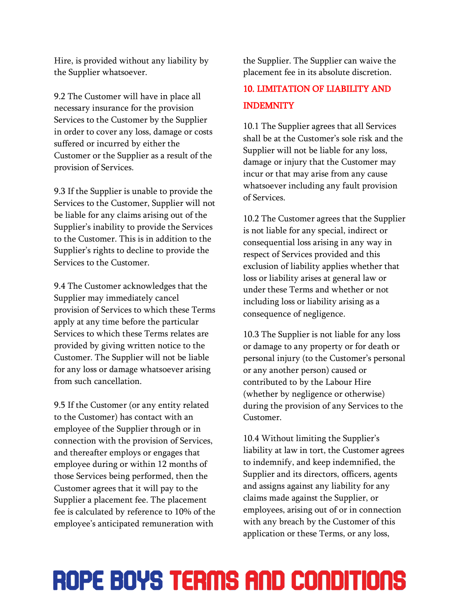Hire, is provided without any liability by the Supplier whatsoever.

9.2 The Customer will have in place all necessary insurance for the provision Services to the Customer by the Supplier in order to cover any loss, damage or costs suffered or incurred by either the Customer or the Supplier as a result of the provision of Services.

9.3 If the Supplier is unable to provide the Services to the Customer, Supplier will not be liable for any claims arising out of the Supplier's inability to provide the Services to the Customer. This is in addition to the Supplier's rights to decline to provide the Services to the Customer.

9.4 The Customer acknowledges that the Supplier may immediately cancel provision of Services to which these Terms apply at any time before the particular Services to which these Terms relates are provided by giving written notice to the Customer. The Supplier will not be liable for any loss or damage whatsoever arising from such cancellation.

9.5 If the Customer (or any entity related to the Customer) has contact with an employee of the Supplier through or in connection with the provision of Services, and thereafter employs or engages that employee during or within 12 months of those Services being performed, then the Customer agrees that it will pay to the Supplier a placement fee. The placement fee is calculated by reference to 10% of the employee's anticipated remuneration with

the Supplier. The Supplier can waive the placement fee in its absolute discretion.

### 10. LIMITATION OF LIABILITY AND INDEMNITY

10.1 The Supplier agrees that all Services shall be at the Customer's sole risk and the Supplier will not be liable for any loss, damage or injury that the Customer may incur or that may arise from any cause whatsoever including any fault provision of Services.

10.2 The Customer agrees that the Supplier is not liable for any special, indirect or consequential loss arising in any way in respect of Services provided and this exclusion of liability applies whether that loss or liability arises at general law or under these Terms and whether or not including loss or liability arising as a consequence of negligence.

10.3 The Supplier is not liable for any loss or damage to any property or for death or personal injury (to the Customer's personal or any another person) caused or contributed to by the Labour Hire (whether by negligence or otherwise) during the provision of any Services to the Customer.

10.4 Without limiting the Supplier's liability at law in tort, the Customer agrees to indemnify, and keep indemnified, the Supplier and its directors, officers, agents and assigns against any liability for any claims made against the Supplier, or employees, arising out of or in connection with any breach by the Customer of this application or these Terms, or any loss,